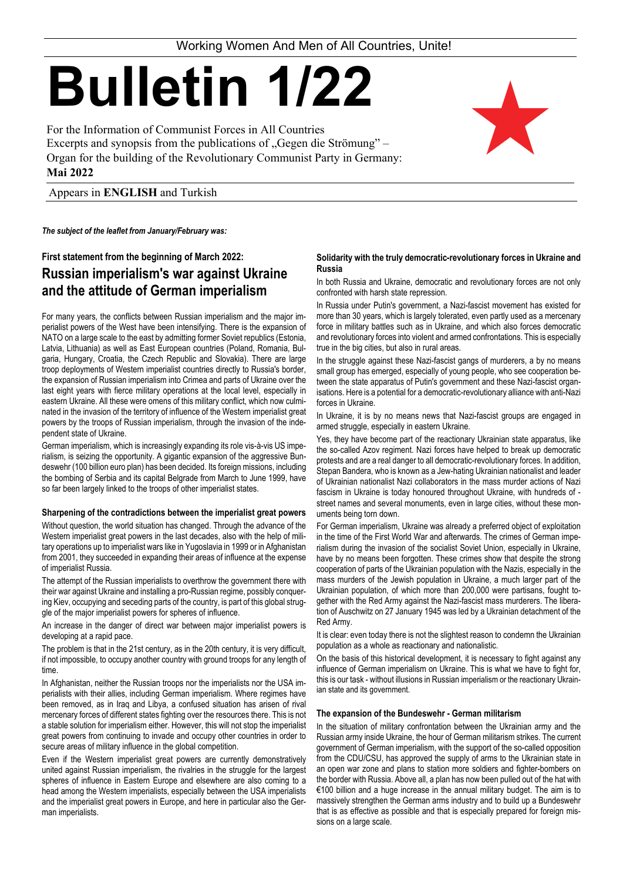*The subject of the leaflet from January/February was:* 

# **First statement from the beginning of March 2022: Russian imperialism's war against Ukraine and the attitude of German imperialism**

For many years, the conflicts between Russian imperialism and the major imperialist powers of the West have been intensifying. There is the expansion of NATO on a large scale to the east by admitting former Soviet republics (Estonia, Latvia, Lithuania) as well as East European countries (Poland, Romania, Bulgaria, Hungary, Croatia, the Czech Republic and Slovakia). There are large troop deployments of Western imperialist countries directly to Russia's border, the expansion of Russian imperialism into Crimea and parts of Ukraine over the last eight years with fierce military operations at the local level, especially in eastern Ukraine. All these were omens of this military conflict, which now culminated in the invasion of the territory of influence of the Western imperialist great powers by the troops of Russian imperialism, through the invasion of the independent state of Ukraine.

German imperialism, which is increasingly expanding its role vis-à-vis US imperialism, is seizing the opportunity. A gigantic expansion of the aggressive Bundeswehr (100 billion euro plan) has been decided. Its foreign missions, including the bombing of Serbia and its capital Belgrade from March to June 1999, have so far been largely linked to the troops of other imperialist states.

# **Sharpening of the contradictions between the imperialist great powers**

Without question, the world situation has changed. Through the advance of the Western imperialist great powers in the last decades, also with the help of military operations up to imperialist wars like in Yugoslavia in 1999 or in Afghanistan from 2001, they succeeded in expanding their areas of influence at the expense of imperialist Russia.

The attempt of the Russian imperialists to overthrow the government there with their war against Ukraine and installing a pro-Russian regime, possibly conquering Kiev, occupying and seceding parts of the country, is part of this global struggle of the major imperialist powers for spheres of influence.

In the struggle against these Nazi-fascist gangs of murderers, a by no means small group has emerged, especially of young people, who see cooperation between the state apparatus of Putin's government and these Nazi-fascist organisations. Here is a potential for a democratic-revolutionary alliance with anti-Nazi forces in Ukraine.

An increase in the danger of direct war between major imperialist powers is developing at a rapid pace.

The problem is that in the 21st century, as in the 20th century, it is very difficult, if not impossible, to occupy another country with ground troops for any length of

time.

In Afghanistan, neither the Russian troops nor the imperialists nor the USA imperialists with their allies, including German imperialism. Where regimes have been removed, as in Iraq and Libya, a confused situation has arisen of rival mercenary forces of different states fighting over the resources there. This is not a stable solution for imperialism either. However, this will not stop the imperialist great powers from continuing to invade and occupy other countries in order to secure areas of military influence in the global competition.

Even if the Western imperialist great powers are currently demonstratively united against Russian imperialism, the rivalries in the struggle for the largest spheres of influence in Eastern Europe and elsewhere are also coming to a head among the Western imperialists, especially between the USA imperialists and the imperialist great powers in Europe, and here in particular also the German imperialists.

# **Solidarity with the truly democratic-revolutionary forces in Ukraine and Russia**

In both Russia and Ukraine, democratic and revolutionary forces are not only confronted with harsh state repression.

In Russia under Putin's government, a Nazi-fascist movement has existed for more than 30 years, which is largely tolerated, even partly used as a mercenary force in military battles such as in Ukraine, and which also forces democratic and revolutionary forces into violent and armed confrontations. This is especially true in the big cities, but also in rural areas.

In Ukraine, it is by no means news that Nazi-fascist groups are engaged in armed struggle, especially in eastern Ukraine.

Yes, they have become part of the reactionary Ukrainian state apparatus, like the so-called Azov regiment. Nazi forces have helped to break up democratic protests and are a real danger to all democratic-revolutionary forces. In addition, Stepan Bandera, who is known as a Jew-hating Ukrainian nationalist and leader of Ukrainian nationalist Nazi collaborators in the mass murder actions of Nazi fascism in Ukraine is today honoured throughout Ukraine, with hundreds of street names and several monuments, even in large cities, without these monuments being torn down.

For German imperialism, Ukraine was already a preferred object of exploitation in the time of the First World War and afterwards. The crimes of German imperialism during the invasion of the socialist Soviet Union, especially in Ukraine, have by no means been forgotten. These crimes show that despite the strong cooperation of parts of the Ukrainian population with the Nazis, especially in the mass murders of the Jewish population in Ukraine, a much larger part of the Ukrainian population, of which more than 200,000 were partisans, fought together with the Red Army against the Nazi-fascist mass murderers. The liberation of Auschwitz on 27 January 1945 was led by a Ukrainian detachment of the Red Army.

It is clear: even today there is not the slightest reason to condemn the Ukrainian population as a whole as reactionary and nationalistic.

On the basis of this historical development, it is necessary to fight against any influence of German imperialism on Ukraine. This is what we have to fight for, this is our task - without illusions in Russian imperialism or the reactionary Ukrainian state and its government.

#### **The expansion of the Bundeswehr - German militarism**

In the situation of military confrontation between the Ukrainian army and the Russian army inside Ukraine, the hour of German militarism strikes. The current government of German imperialism, with the support of the so-called opposition from the CDU/CSU, has approved the supply of arms to the Ukrainian state in an open war zone and plans to station more soldiers and fighter-bombers on the border with Russia. Above all, a plan has now been pulled out of the hat with €100 billion and a huge increase in the annual military budget. The aim is to massively strengthen the German arms industry and to build up a Bundeswehr that is as effective as possible and that is especially prepared for foreign missions on a large scale.

Working Women And Men of All Countries, Unite!

# **Bulletin 1/22**

For the Information of Communist Forces in All Countries Excerpts and synopsis from the publications of "Gegen die Strömung" – Organ for the building of the Revolutionary Communist Party in Germany: **Mai 2022**

Appears in **ENGLISH** and Turkish

H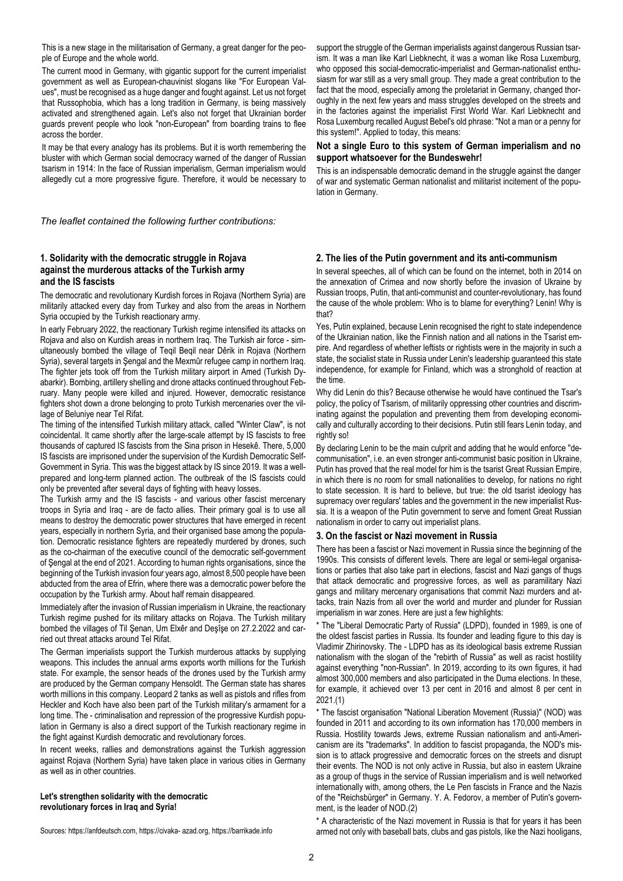This is a new stage in the militarisation of Germany, a great danger for the people of Europe and the whole world.

The current mood in Germany, with gigantic support for the current imperialist government as well as European-chauvinist slogans like "For European Values", must be recognised as a huge danger and fought against. Let us not forget that Russophobia, which has a long tradition in Germany, is being massively activated and strengthened again. Let's also not forget that Ukrainian border guards prevent people who look "non-European" from boarding trains to flee across the border.

It may be that every analogy has its problems. But it is worth remembering the bluster with which German social democracy warned of the danger of Russian tsarism in 1914: In the face of Russian imperialism, German imperialism would allegedly cut a more progressive figure. Therefore, it would be necessary to support the struggle of the German imperialists against dangerous Russian tsarism. It was a man like Karl Liebknecht, it was a woman like Rosa Luxemburg, who opposed this social-democratic-imperialist and German-nationalist enthusiasm for war still as a very small group. They made a great contribution to the fact that the mood, especially among the proletariat in Germany, changed thoroughly in the next few years and mass struggles developed on the streets and in the factories against the imperialist First World War. Karl Liebknecht and Rosa Luxemburg recalled August Bebel's old phrase: "Not a man or a penny for this system!". Applied to today, this means:

# **Not a single Euro to this system of German imperialism and no support whatsoever for the Bundeswehr!**

This is an indispensable democratic demand in the struggle against the danger of war and systematic German nationalist and militarist incitement of the population in Germany.

*The leaflet contained the following further contributions:* 

# **1. Solidarity with the democratic struggle in Rojava against the murderous attacks of the Turkish army and the IS fascists**

The democratic and revolutionary Kurdish forces in Rojava (Northern Syria) are militarily attacked every day from Turkey and also from the areas in Northern Syria occupied by the Turkish reactionary army.

In early February 2022, the reactionary Turkish regime intensified its attacks on Rojava and also on Kurdish areas in northern Iraq. The Turkish air force - simultaneously bombed the village of Teqil Beqil near Dêrik in Rojava (Northern Syria), several targets in Şengal and the Mexmûr refugee camp in northern Iraq. The fighter jets took off from the Turkish military airport in Amed (Turkish Dyabarkir). Bombing, artillery shelling and drone attacks continued throughout February. Many people were killed and injured. However, democratic resistance fighters shot down a drone belonging to proto Turkish mercenaries over the village of Beluniye near Tel Rifat.

The timing of the intensified Turkish military attack, called "Winter Claw", is not coincidental. It came shortly after the large-scale attempt by IS fascists to free thousands of captured IS fascists from the Sina prison in Hesekê. There, 5,000 IS fascists are imprisoned under the supervision of the Kurdish Democratic Self-Government in Syria. This was the biggest attack by IS since 2019. It was a wellprepared and long-term planned action. The outbreak of the IS fascists could only be prevented after several days of fighting with heavy losses.

The Turkish army and the IS fascists - and various other fascist mercenary troops in Syria and Iraq - are de facto allies. Their primary goal is to use all means to destroy the democratic power structures that have emerged in recent years, especially in northern Syria, and their organised base among the population. Democratic resistance fighters are repeatedly murdered by drones, such as the co-chairman of the executive council of the democratic self-government of Şengal at the end of 2021. According to human rights organisations, since the beginning of the Turkish invasion four years ago, almost 8,500 people have been abducted from the area of Efrin, where there was a democratic power before the occupation by the Turkish army. About half remain disappeared.

Immediately after the invasion of Russian imperialism in Ukraine, the reactionary Turkish regime pushed for its military attacks on Rojava. The Turkish military bombed the villages of Til Şenan, Um Elxêr and Deşîşe on 27.2.2022 and carried out threat attacks around Tel Rifat.

The German imperialists support the Turkish murderous attacks by supplying weapons. This includes the annual arms exports worth millions for the Turkish

state. For example, the sensor heads of the drones used by the Turkish army are produced by the German company Hensoldt. The German state has shares worth millions in this company. Leopard 2 tanks as well as pistols and rifles from Heckler and Koch have also been part of the Turkish military's armament for a long time. The - criminalisation and repression of the progressive Kurdish population in Germany is also a direct support of the Turkish reactionary regime in the fight against Kurdish democratic and revolutionary forces.

In recent weeks, rallies and demonstrations against the Turkish aggression against Rojava (Northern Syria) have taken place in various cities in Germany as well as in other countries.

## **Let's strengthen solidarity with the democratic revolutionary forces in Iraq and Syria!**

Sources: https://anfdeutsch.com, https://civaka- azad.org, https://barrikade.info

# **2. The lies of the Putin government and its anti-communism**

In several speeches, all of which can be found on the internet, both in 2014 on the annexation of Crimea and now shortly before the invasion of Ukraine by Russian troops, Putin, that anti-communist and counter-revolutionary, has found the cause of the whole problem: Who is to blame for everything? Lenin! Why is that?

Yes, Putin explained, because Lenin recognised the right to state independence of the Ukrainian nation, like the Finnish nation and all nations in the Tsarist empire. And regardless of whether leftists or rightists were in the majority in such a state, the socialist state in Russia under Lenin's leadership guaranteed this state independence, for example for Finland, which was a stronghold of reaction at the time.

Why did Lenin do this? Because otherwise he would have continued the Tsar's policy, the policy of Tsarism, of militarily oppressing other countries and discriminating against the population and preventing them from developing economically and culturally according to their decisions. Putin still fears Lenin today, and rightly so!

By declaring Lenin to be the main culprit and adding that he would enforce "decommunisation", i.e. an even stronger anti-communist basic position in Ukraine, Putin has proved that the real model for him is the tsarist Great Russian Empire, in which there is no room for small nationalities to develop, for nations no right to state secession. It is hard to believe, but true: the old tsarist ideology has supremacy over regulars' tables and the government in the new imperialist Russia. It is a weapon of the Putin government to serve and foment Great Russian nationalism in order to carry out imperialist plans.

# **3. On the fascist or Nazi movement in Russia**

There has been a fascist or Nazi movement in Russia since the beginning of the 1990s. This consists of different levels. There are legal or semi-legal organisations or parties that also take part in elections, fascist and Nazi gangs of thugs that attack democratic and progressive forces, as well as paramilitary Nazi gangs and military mercenary organisations that commit Nazi murders and attacks, train Nazis from all over the world and murder and plunder for Russian imperialism in war zones. Here are just a few highlights:

\* The "Liberal Democratic Party of Russia" (LDPD), founded in 1989, is one of the oldest fascist parties in Russia. Its founder and leading figure to this day is Vladimir Zhirinovsky. The - LDPD has as its ideological basis extreme Russian nationalism with the slogan of the "rebirth of Russia" as well as racist hostility against everything "non-Russian". In 2019, according to its own figures, it had almost 300,000 members and also participated in the Duma elections. In these, for example, it achieved over 13 per cent in 2016 and almost 8 per cent in 2021.(1) \* The fascist organisation "National Liberation Movement (Russia)" (NOD) was founded in 2011 and according to its own information has 170,000 members in Russia. Hostility towards Jews, extreme Russian nationalism and anti-Americanism are its "trademarks". In addition to fascist propaganda, the NOD's mission is to attack progressive and democratic forces on the streets and disrupt their events. The NOD is not only active in Russia, but also in eastern Ukraine as a group of thugs in the service of Russian imperialism and is well networked internationally with, among others, the Le Pen fascists in France and the Nazis of the "Reichsbürger" in Germany. Y. A. Fedorov, a member of Putin's government, is the leader of NOD.(2)

\* A characteristic of the Nazi movement in Russia is that for years it has been armed not only with baseball bats, clubs and gas pistols, like the Nazi hooligans,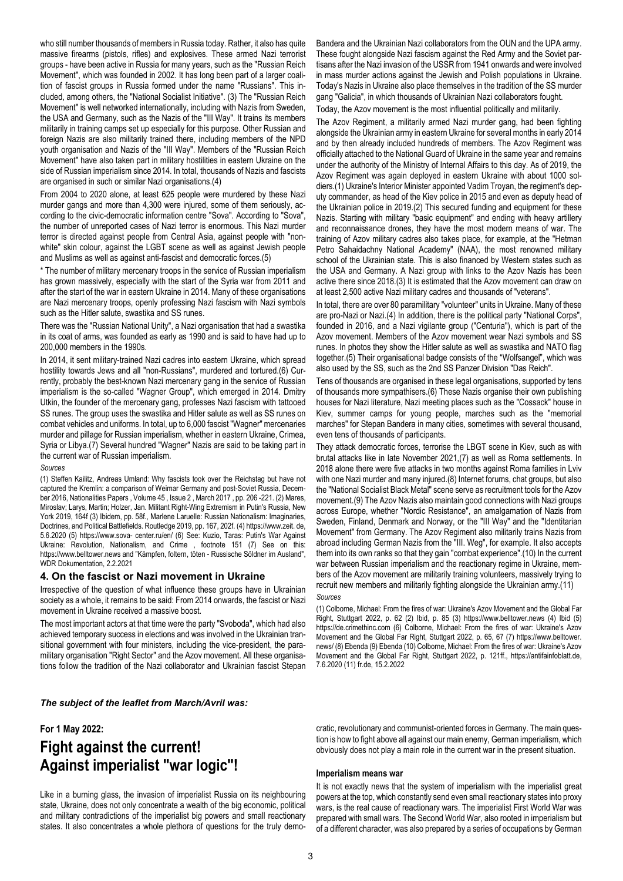who still number thousands of members in Russia today. Rather, it also has quite massive firearms (pistols, rifles) and explosives. These armed Nazi terrorist groups - have been active in Russia for many years, such as the "Russian Reich Movement", which was founded in 2002. It has long been part of a larger coalition of fascist groups in Russia formed under the name "Russians". This included, among others, the "National Socialist Initiative". (3) The "Russian Reich Movement" is well networked internationally, including with Nazis from Sweden, the USA and Germany, such as the Nazis of the "III Way". It trains its members militarily in training camps set up especially for this purpose. Other Russian and foreign Nazis are also militarily trained there, including members of the NPD youth organisation and Nazis of the "III Way". Members of the "Russian Reich Movement" have also taken part in military hostilities in eastern Ukraine on the side of Russian imperialism since 2014. In total, thousands of Nazis and fascists are organised in such or similar Nazi organisations.(4)

From 2004 to 2020 alone, at least 625 people were murdered by these Nazi murder gangs and more than 4,300 were injured, some of them seriously, according to the civic-democratic information centre "Sova". According to "Sova", the number of unreported cases of Nazi terror is enormous. This Nazi murder terror is directed against people from Central Asia, against people with "nonwhite" skin colour, against the LGBT scene as well as against Jewish people and Muslims as well as against anti-fascist and democratic forces.(5)

\* The number of military mercenary troops in the service of Russian imperialism has grown massively, especially with the start of the Syria war from 2011 and after the start of the war in eastern Ukraine in 2014. Many of these organisations are Nazi mercenary troops, openly professing Nazi fascism with Nazi symbols such as the Hitler salute, swastika and SS runes.

There was the "Russian National Unity", a Nazi organisation that had a swastika in its coat of arms, was founded as early as 1990 and is said to have had up to 200,000 members in the 1990s.

In 2014, it sent military-trained Nazi cadres into eastern Ukraine, which spread hostility towards Jews and all "non-Russians", murdered and tortured.(6) Currently, probably the best-known Nazi mercenary gang in the service of Russian imperialism is the so-called "Wagner Group", which emerged in 2014. Dmitry Utkin, the founder of the mercenary gang, professes Nazi fascism with tattooed SS runes. The group uses the swastika and Hitler salute as well as SS runes on combat vehicles and uniforms. In total, up to 6,000 fascist "Wagner" mercenaries murder and pillage for Russian imperialism, whether in eastern Ukraine, Crimea, Syria or Libya.(7) Several hundred "Wagner" Nazis are said to be taking part in the current war of Russian imperialism.

#### *Sources*

(1) Steffen Kailitz, Andreas Umland: Why fascists took over the Reichstag but have not captured the Kremlin: a comparison of Weimar Germany and post-Soviet Russia, December 2016, Nationalities Papers , Volume 45 , Issue 2 , March 2017 , pp. 206 -221. (2) Mares, Miroslav; Larys, Martin; Holzer, Jan. Militant Right-Wing Extremism in Putin's Russia, New York 2019, 164f (3) Ibidem, pp. 58f., Marlene Laruelle: Russian Nationalism: Imaginaries, Doctrines, and Political Battlefields. Routledge 2019, pp. 167, 202f. (4) https://www.zeit. de, 5.6.2020 (5) https://www.sova- center.ru/en/ (6) See: Kuzio, Taras: Putin's War Against Ukraine: Revolution, Nationalism, and Crime , footnote 151 (7) See on this: https://www.belltower.news and "Kämpfen, foltern, töten - Russische Söldner im Ausland", WDR Dokumentation, 2.2.2021

# **4. On the fascist or Nazi movement in Ukraine**

Irrespective of the question of what influence these groups have in Ukrainian society as a whole, it remains to be said: From 2014 onwards, the fascist or Nazi movement in Ukraine received a massive boost.

The most important actors at that time were the party "Svoboda", which had also achieved temporary success in elections and was involved in the Ukrainian transitional government with four ministers, including the vice-president, the paramilitary organisation "Right Sector" and the Azov movement. All these organisaBandera and the Ukrainian Nazi collaborators from the OUN and the UPA army. These fought alongside Nazi fascism against the Red Army and the Soviet partisans after the Nazi invasion of the USSR from 1941 onwards and were involved in mass murder actions against the Jewish and Polish populations in Ukraine. Today's Nazis in Ukraine also place themselves in the tradition of the SS murder gang "Galicia", in which thousands of Ukrainian Nazi collaborators fought.

#### Today, the Azov movement is the most influential politically and militarily.

The Azov Regiment, a militarily armed Nazi murder gang, had been fighting alongside the Ukrainian army in eastern Ukraine for several months in early 2014 and by then already included hundreds of members. The Azov Regiment was officially attached to the National Guard of Ukraine in the same year and remains under the authority of the Ministry of Internal Affairs to this day. As of 2019, the Azov Regiment was again deployed in eastern Ukraine with about 1000 soldiers.(1) Ukraine's Interior Minister appointed Vadim Troyan, the regiment's deputy commander, as head of the Kiev police in 2015 and even as deputy head of the Ukrainian police in 2019.(2) This secured funding and equipment for these Nazis. Starting with military "basic equipment" and ending with heavy artillery and reconnaissance drones, they have the most modern means of war. The training of Azov military cadres also takes place, for example, at the "Hetman Petro Sahaidachny National Academy" (NAA), the most renowned military school of the Ukrainian state. This is also financed by Western states such as the USA and Germany. A Nazi group with links to the Azov Nazis has been active there since 2018.(3) It is estimated that the Azov movement can draw on at least 2,500 active Nazi military cadres and thousands of "veterans".

In total, there are over 80 paramilitary "volunteer" units in Ukraine. Many of these are pro-Nazi or Nazi.(4) In addition, there is the political party "National Corps", founded in 2016, and a Nazi vigilante group ("Centuria"), which is part of the Azov movement. Members of the Azov movement wear Nazi symbols and SS runes. In photos they show the Hitler salute as well as swastika and NATO flag together.(5) Their organisational badge consists of the "Wolfsangel", which was also used by the SS, such as the 2nd SS Panzer Division "Das Reich".

Tens of thousands are organised in these legal organisations, supported by tens of thousands more sympathisers.(6) These Nazis organise their own publishing houses for Nazi literature, Nazi meeting places such as the "Cossack" house in Kiev, summer camps for young people, marches such as the "memorial marches" for Stepan Bandera in many cities, sometimes with several thousand, even tens of thousands of participants.

They attack democratic forces, terrorise the LBGT scene in Kiev, such as with brutal attacks like in late November 2021,(7) as well as Roma settlements. In 2018 alone there were five attacks in two months against Roma families in Lviv with one Nazi murder and many injured.(8) Internet forums, chat groups, but also the "National Socialist Black Metal" scene serve as recruitment tools for the Azov movement.(9) The Azov Nazis also maintain good connections with Nazi groups across Europe, whether "Nordic Resistance", an amalgamation of Nazis from Sweden, Finland, Denmark and Norway, or the "III Way" and the "Identitarian Movement" from Germany. The Azov Regiment also militarily trains Nazis from abroad including German Nazis from the "III. Weg", for example. It also accepts them into its own ranks so that they gain "combat experience".(10) In the current war between Russian imperialism and the reactionary regime in Ukraine, members of the Azov movement are militarily training volunteers, massively trying to recruit new members and militarily fighting alongside the Ukrainian army.(11) *Sources* 

(1) Colborne, Michael: From the fires of war: Ukraine's Azov Movement and the Global Far Right, Stuttgart 2022, p. 62 (2) Ibid, p. 85 (3) https://www.belltower.news (4) Ibid (5) https://de.crimethinc.com (6) Colborne, Michael: From the fires of war: Ukraine's Azov Movement and the Global Far Right, Stuttgart 2022, p. 65, 67 (7) https://www.belltower. news/ (8) Ebenda (9) Ebenda (10) Colborne, Michael: From the fires of war: Ukraine's Azov Movement and the Global Far Right, Stuttgart 2022, p. 121ff., https://antifainfoblatt.de, 7.6.2020 (11) fr.de, 15.2.2022

#### *The subject of the leaflet from March/Avril was:*

#### **For 1 May 2022:**

# **Fight against the current! Against imperialist "war logic"!**

Like in a burning glass, the invasion of imperialist Russia on its neighbouring state, Ukraine, does not only concentrate a wealth of the big economic, political and military contradictions of the imperialist big powers and small reactionary states. It also concentrates a whole plethora of questions for the truly democratic, revolutionary and communist-oriented forces in Germany. The main question is how to fight above all against our main enemy, German imperialism, which obviously does not play a main role in the current war in the present situation.

#### **Imperialism means war**

It is not exactly news that the system of imperialism with the imperialist great powers at the top, which constantly send even small reactionary states into proxy wars, is the real cause of reactionary wars. The imperialist First World War was prepared with small wars. The Second World War, also rooted in imperialism but of a different character, was also prepared by a series of occupations by German